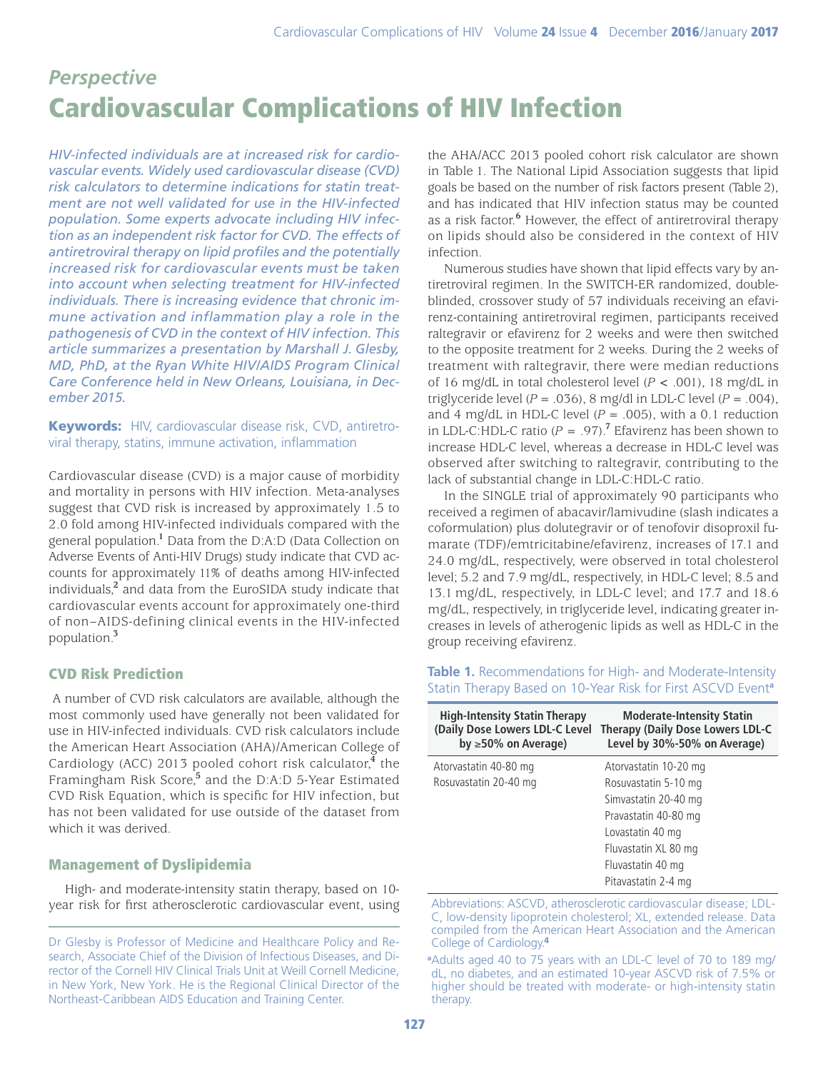# *Perspective* Cardiovascular Complications of HIV Infection

*HIV-infected individuals are at increased risk for cardiovascular events. Widely used cardiovascular disease (CVD) risk calculators to determine indications for statin treatment are not well validated for use in the HIV-infected population. Some experts advocate including HIV infection as an independent risk factor for CVD. The effects of antiretroviral therapy on lipid profiles and the potentially increased risk for cardiovascular events must be taken into account when selecting treatment for HIV-infected individuals. There is increasing evidence that chronic immune activation and inflammation play a role in the pathogenesis of CVD in the context of HIV infection. This article summarizes a presentation by Marshall J. Glesby, MD, PhD, at the Ryan White HIV/AIDS Program Clinical Care Conference held in New Orleans, Louisiana, in December 2015.*

Keywords: HIV, cardiovascular disease risk, CVD, antiretroviral therapy, statins, immune activation, inflammation

Cardiovascular disease (CVD) is a major cause of morbidity and mortality in persons with HIV infection. Meta-analyses suggest that CVD risk is increased by approximately 1.5 to 2.0 fold among HIV-infected individuals compared with the general population.**<sup>1</sup>** Data from the D:A:D (Data Collection on Adverse Events of Anti-HIV Drugs) study indicate that CVD accounts for approximately 11% of deaths among HIV-infected individuals,**<sup>2</sup>** and data from the EuroSIDA study indicate that cardiovascular events account for approximately one-third of non–AIDS-defining clinical events in the HIV-infected population.**<sup>3</sup>**

## CVD Risk Prediction

 A number of CVD risk calculators are available, although the most commonly used have generally not been validated for use in HIV-infected individuals. CVD risk calculators include the American Heart Association (AHA)/American College of Cardiology (ACC) 2013 pooled cohort risk calculator,**<sup>4</sup>** the Framingham Risk Score,**<sup>5</sup>** and the D:A:D 5-Year Estimated CVD Risk Equation, which is specific for HIV infection, but has not been validated for use outside of the dataset from which it was derived.

## Management of Dyslipidemia

High- and moderate-intensity statin therapy, based on 10 year risk for first atherosclerotic cardiovascular event, using the AHA/ACC 2013 pooled cohort risk calculator are shown in Table 1. The National Lipid Association suggests that lipid goals be based on the number of risk factors present (Table 2), and has indicated that HIV infection status may be counted as a risk factor.<sup>6</sup> However, the effect of antiretroviral therapy on lipids should also be considered in the context of HIV infection.

Numerous studies have shown that lipid effects vary by antiretroviral regimen. In the SWITCH-ER randomized, doubleblinded, crossover study of 57 individuals receiving an efavirenz-containing antiretroviral regimen, participants received raltegravir or efavirenz for 2 weeks and were then switched to the opposite treatment for 2 weeks. During the 2 weeks of treatment with raltegravir, there were median reductions of 16 mg/dL in total cholesterol level (*P* < .001), 18 mg/dL in triglyceride level  $(P = .036)$ , 8 mg/dl in LDL-C level  $(P = .004)$ , and 4 mg/dL in HDL-C level  $(P = .005)$ , with a 0.1 reduction in LDL-C:HDL-C ratio  $(P = .97)$ .<sup>7</sup> Efavirenz has been shown to increase HDL-C level, whereas a decrease in HDL-C level was observed after switching to raltegravir, contributing to the lack of substantial change in LDL-C:HDL-C ratio.

In the SINGLE trial of approximately 90 participants who received a regimen of abacavir/lamivudine (slash indicates a coformulation) plus dolutegravir or of tenofovir disoproxil fumarate (TDF)/emtricitabine/efavirenz, increases of 17.1 and 24.0 mg/dL, respectively, were observed in total cholesterol level; 5.2 and 7.9 mg/dL, respectively, in HDL-C level; 8.5 and 13.1 mg/dL, respectively, in LDL-C level; and 17.7 and 18.6 mg/dL, respectively, in triglyceride level, indicating greater increases in levels of atherogenic lipids as well as HDL-C in the group receiving efavirenz.

**Table 1.** Recommendations for High- and Moderate-Intensity Statin Therapy Based on 10-Year Risk for First ASCVD Event**<sup>a</sup>**

| <b>High-Intensity Statin Therapy</b><br>(Daily Dose Lowers LDL-C Level)<br>by $\geq$ 50% on Average) | <b>Moderate-Intensity Statin</b><br><b>Therapy (Daily Dose Lowers LDL-C</b><br>Level by 30%-50% on Average) |
|------------------------------------------------------------------------------------------------------|-------------------------------------------------------------------------------------------------------------|
| Atorvastatin 40-80 mg                                                                                | Atorvastatin 10-20 mg                                                                                       |
| Rosuvastatin 20-40 mg                                                                                | Rosuvastatin 5-10 mg                                                                                        |
|                                                                                                      | Simvastatin 20-40 mg                                                                                        |
|                                                                                                      | Pravastatin 40-80 mg                                                                                        |
|                                                                                                      | Lovastatin 40 mg                                                                                            |
|                                                                                                      | Fluvastatin XL 80 mg                                                                                        |
|                                                                                                      | Fluvastatin 40 mg                                                                                           |
|                                                                                                      | Pitavastatin 2-4 mg                                                                                         |

Abbreviations: ASCVD, atherosclerotic cardiovascular disease; LDL-C, low-density lipoprotein cholesterol; XL, extended release. Data compiled from the American Heart Association and the American College of Cardiology.**<sup>4</sup>**

**a** Adults aged 40 to 75 years with an LDL-C level of 70 to 189 mg/ dL, no diabetes, and an estimated 10-year ASCVD risk of 7.5% or higher should be treated with moderate- or high-intensity statin therapy.

Dr Glesby is Professor of Medicine and Healthcare Policy and Research, Associate Chief of the Division of Infectious Diseases, and Director of the Cornell HIV Clinical Trials Unit at Weill Cornell Medicine, in New York, New York. He is the Regional Clinical Director of the Northeast-Caribbean AIDS Education and Training Center.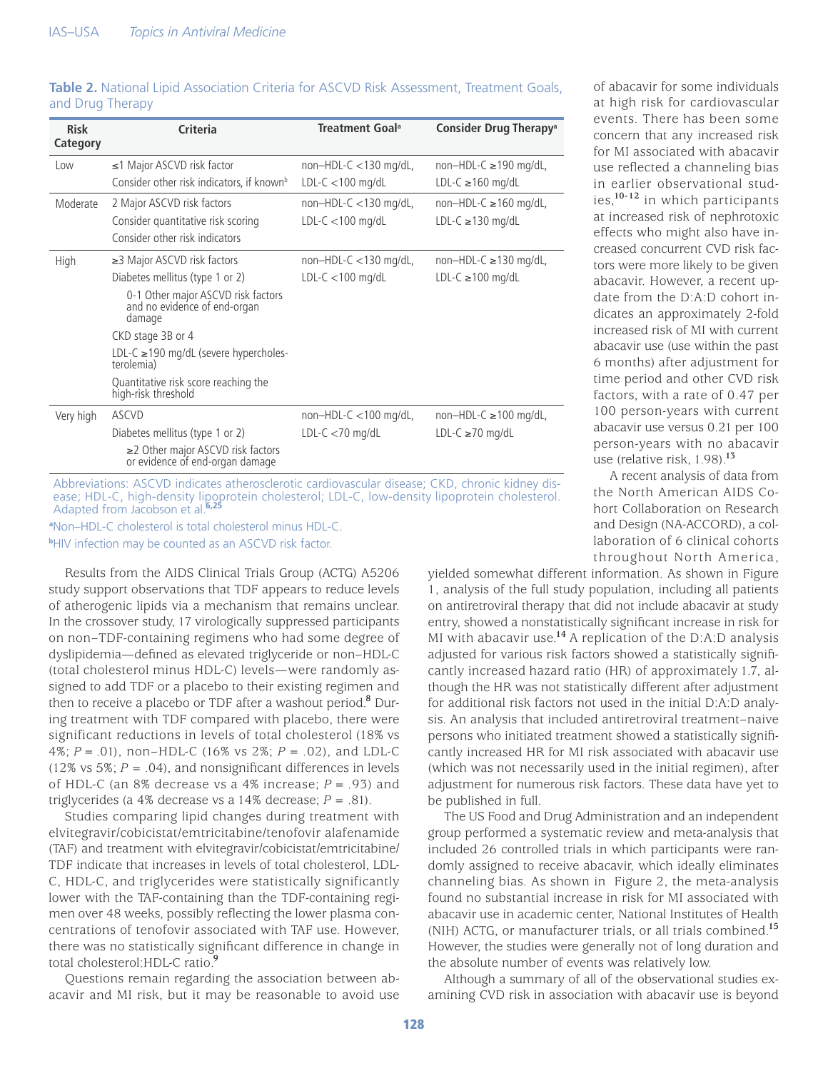| <b>Risk</b><br>Category | Criteria                                                                                                                                             | Treatment Goal <sup>a</sup>                     | Consider Drug Therapy <sup>a</sup>                    |
|-------------------------|------------------------------------------------------------------------------------------------------------------------------------------------------|-------------------------------------------------|-------------------------------------------------------|
| Low                     | $\leq$ 1 Major ASCVD risk factor<br>Consider other risk indicators, if known <sup>b</sup>                                                            | $non-HDL-C < 130$ mg/dL,<br>$LDL-C < 100$ mg/dL | $non-HDL-C \geq 190$ mg/dL,<br>$LDL-C \geq 160$ mg/dL |
| Moderate                | 2 Major ASCVD risk factors<br>Consider quantitative risk scoring<br>Consider other risk indicators                                                   | $non-HDL-C < 130$ mg/dL,<br>$LDL-C < 100$ mg/dL | $non-HDL-C \geq 160$ mg/dL,<br>LDL-C $\geq$ 130 mg/dL |
| High                    | $\geq$ 3 Major ASCVD risk factors<br>Diabetes mellitus (type 1 or 2)<br>0-1 Other major ASCVD risk factors<br>and no evidence of end-organ<br>damage | $non-HDL-C < 130$ mg/dL,<br>$LDL-C < 100$ mg/dL | $non-HDL-C \geq 130$ mg/dL,<br>$LDL-C \geq 100$ mg/dL |
|                         | CKD stage 3B or 4<br>LDL-C $\geq$ 190 mg/dL (severe hypercholes-<br>terolemia)<br>Quantitative risk score reaching the<br>high-risk threshold        |                                                 |                                                       |
| Very high               | ASCVD<br>Diabetes mellitus (type 1 or 2)<br>$\geq$ 2 Other major ASCVD risk factors<br>or evidence of end-organ damage                               | $non-HDL-C < 100$ mg/dL,<br>LDL-C $<$ 70 mg/dL  | $non-HDL-C \geq 100$ mg/dL,<br>LDL-C ≥70 mg/dL        |

#### **Table 2.** National Lipid Association Criteria for ASCVD Risk Assessment, Treatment Goals, and Drug Therapy

Abbreviations: ASCVD indicates atherosclerotic cardiovascular disease; CKD, chronic kidney disease; HDL-C, high-density lipoprotein cholesterol; LDL-C, low-density lipoprotein cholesterol. Adapted from Jacobson et al.**6,25**

**a** Non–HDL-C cholesterol is total cholesterol minus HDL-C.

**bHIV** infection may be counted as an ASCVD risk factor.

Results from the AIDS Clinical Trials Group (ACTG) A5206 study support observations that TDF appears to reduce levels of atherogenic lipids via a mechanism that remains unclear. In the crossover study, 17 virologically suppressed participants on non–TDF-containing regimens who had some degree of dyslipidemia—defined as elevated triglyceride or non–HDL-C (total cholesterol minus HDL-C) levels—were randomly assigned to add TDF or a placebo to their existing regimen and then to receive a placebo or TDF after a washout period.**<sup>8</sup>** During treatment with TDF compared with placebo, there were significant reductions in levels of total cholesterol (18% vs 4%; *P* = .01), non–HDL-C (16% vs 2%; *P* = .02), and LDL-C (12% vs 5%;  $P = .04$ ), and nonsignificant differences in levels of HDL-C (an 8% decrease vs a 4% increase; *P* = .93) and triglycerides (a 4% decrease vs a 14% decrease; *P* = .81).

Studies comparing lipid changes during treatment with elvitegravir/cobicistat/emtricitabine/tenofovir alafenamide (TAF) and treatment with elvitegravir/cobicistat/emtricitabine/ TDF indicate that increases in levels of total cholesterol, LDL-C, HDL-C, and triglycerides were statistically significantly lower with the TAF-containing than the TDF-containing regimen over 48 weeks, possibly reflecting the lower plasma concentrations of tenofovir associated with TAF use. However, there was no statistically significant difference in change in total cholesterol:HDL-C ratio.**<sup>9</sup>**

Questions remain regarding the association between abacavir and MI risk, but it may be reasonable to avoid use of abacavir for some individuals at high risk for cardiovascular events. There has been some concern that any increased risk for MI associated with abacavir use reflected a channeling bias in earlier observational studies,**10-12** in which participants at increased risk of nephrotoxic effects who might also have increased concurrent CVD risk factors were more likely to be given abacavir. However, a recent update from the D:A:D cohort indicates an approximately 2-fold increased risk of MI with current abacavir use (use within the past 6 months) after adjustment for time period and other CVD risk factors, with a rate of 0.47 per 100 person-years with current abacavir use versus 0.21 per 100 person-years with no abacavir use (relative risk, 1.98).**<sup>13</sup>**

A recent analysis of data from the North American AIDS Cohort Collaboration on Research and Design (NA-ACCORD), a collaboration of 6 clinical cohorts throughout North America,

yielded somewhat different information. As shown in Figure 1, analysis of the full study population, including all patients on antiretroviral therapy that did not include abacavir at study entry, showed a nonstatistically significant increase in risk for MI with abacavir use.**<sup>14</sup>** A replication of the D:A:D analysis adjusted for various risk factors showed a statistically significantly increased hazard ratio (HR) of approximately 1.7, although the HR was not statistically different after adjustment for additional risk factors not used in the initial D:A:D analysis. An analysis that included antiretroviral treatment–naive persons who initiated treatment showed a statistically significantly increased HR for MI risk associated with abacavir use (which was not necessarily used in the initial regimen), after adjustment for numerous risk factors. These data have yet to be published in full.

The US Food and Drug Administration and an independent group performed a systematic review and meta-analysis that included 26 controlled trials in which participants were randomly assigned to receive abacavir, which ideally eliminates channeling bias. As shown in Figure 2, the meta-analysis found no substantial increase in risk for MI associated with abacavir use in academic center, National Institutes of Health (NIH) ACTG, or manufacturer trials, or all trials combined.**<sup>15</sup>** However, the studies were generally not of long duration and the absolute number of events was relatively low.

Although a summary of all of the observational studies examining CVD risk in association with abacavir use is beyond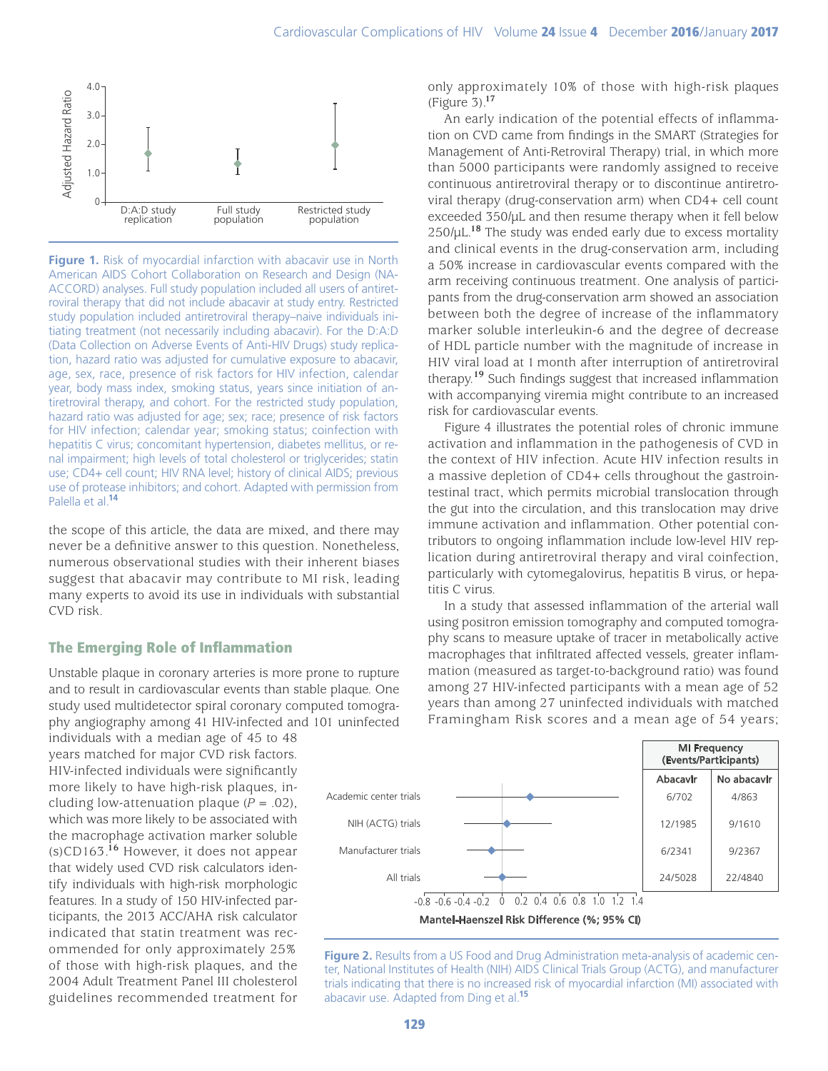

**Figure 1.** Risk of myocardial infarction with abacavir use in North American AIDS Cohort Collaboration on Research and Design (NA-ACCORD) analyses. Full study population included all users of antiretroviral therapy that did not include abacavir at study entry. Restricted study population included antiretroviral therapy–naive individuals initiating treatment (not necessarily including abacavir). For the D:A:D (Data Collection on Adverse Events of Anti-HIV Drugs) study replication, hazard ratio was adjusted for cumulative exposure to abacavir, age, sex, race, presence of risk factors for HIV infection, calendar year, body mass index, smoking status, years since initiation of antiretroviral therapy, and cohort. For the restricted study population, hazard ratio was adjusted for age; sex; race; presence of risk factors for HIV infection; calendar year; smoking status; coinfection with hepatitis C virus; concomitant hypertension, diabetes mellitus, or renal impairment; high levels of total cholesterol or triglycerides; statin use; CD4+ cell count; HIV RNA level; history of clinical AIDS; previous use of protease inhibitors; and cohort. Adapted with permission from Palella et al.**<sup>14</sup>**

the scope of this article, the data are mixed, and there may never be a definitive answer to this question. Nonetheless, numerous observational studies with their inherent biases suggest that abacavir may contribute to MI risk, leading many experts to avoid its use in individuals with substantial CVD risk.

### The Emerging Role of Inflammation

Unstable plaque in coronary arteries is more prone to rupture and to result in cardiovascular events than stable plaque. One study used multidetector spiral coronary computed tomography angiography among 41 HIV-infected and 101 uninfected

individuals with a median age of 45 to 48 years matched for major CVD risk factors. HIV-infected individuals were significantly more likely to have high-risk plaques, including low-attenuation plaque  $(P = .02)$ , which was more likely to be associated with the macrophage activation marker soluble (s)CD163.**<sup>16</sup>** However, it does not appear that widely used CVD risk calculators identify individuals with high-risk morphologic features. In a study of 150 HIV-infected participants, the 2013 ACC/AHA risk calculator indicated that statin treatment was recommended for only approximately 25% of those with high-risk plaques, and the 2004 Adult Treatment Panel III cholesterol guidelines recommended treatment for only approximately 10% of those with high-risk plaques (Figure 3).**<sup>17</sup>**

An early indication of the potential effects of inflammation on CVD came from findings in the SMART (Strategies for Management of Anti-Retroviral Therapy) trial, in which more than 5000 participants were randomly assigned to receive continuous antiretroviral therapy or to discontinue antiretroviral therapy (drug-conservation arm) when CD4+ cell count exceeded 350/µL and then resume therapy when it fell below 250/µL.**<sup>18</sup>** The study was ended early due to excess mortality and clinical events in the drug-conservation arm, including a 50% increase in cardiovascular events compared with the arm receiving continuous treatment. One analysis of participants from the drug-conservation arm showed an association between both the degree of increase of the inflammatory marker soluble interleukin-6 and the degree of decrease of HDL particle number with the magnitude of increase in HIV viral load at 1 month after interruption of antiretroviral therapy.**<sup>19</sup>** Such findings suggest that increased inflammation with accompanying viremia might contribute to an increased risk for cardiovascular events.

Figure 4 illustrates the potential roles of chronic immune activation and inflammation in the pathogenesis of CVD in the context of HIV infection. Acute HIV infection results in a massive depletion of CD4+ cells throughout the gastrointestinal tract, which permits microbial translocation through the gut into the circulation, and this translocation may drive immune activation and inflammation. Other potential contributors to ongoing inflammation include low-level HIV replication during antiretroviral therapy and viral coinfection, particularly with cytomegalovirus, hepatitis B virus, or hepatitis C virus.

In a study that assessed inflammation of the arterial wall using positron emission tomography and computed tomography scans to measure uptake of tracer in metabolically active macrophages that infiltrated affected vessels, greater inflammation (measured as target-to-background ratio) was found among 27 HIV-infected participants with a mean age of 52 years than among 27 uninfected individuals with matched Framingham Risk scores and a mean age of 54 years;



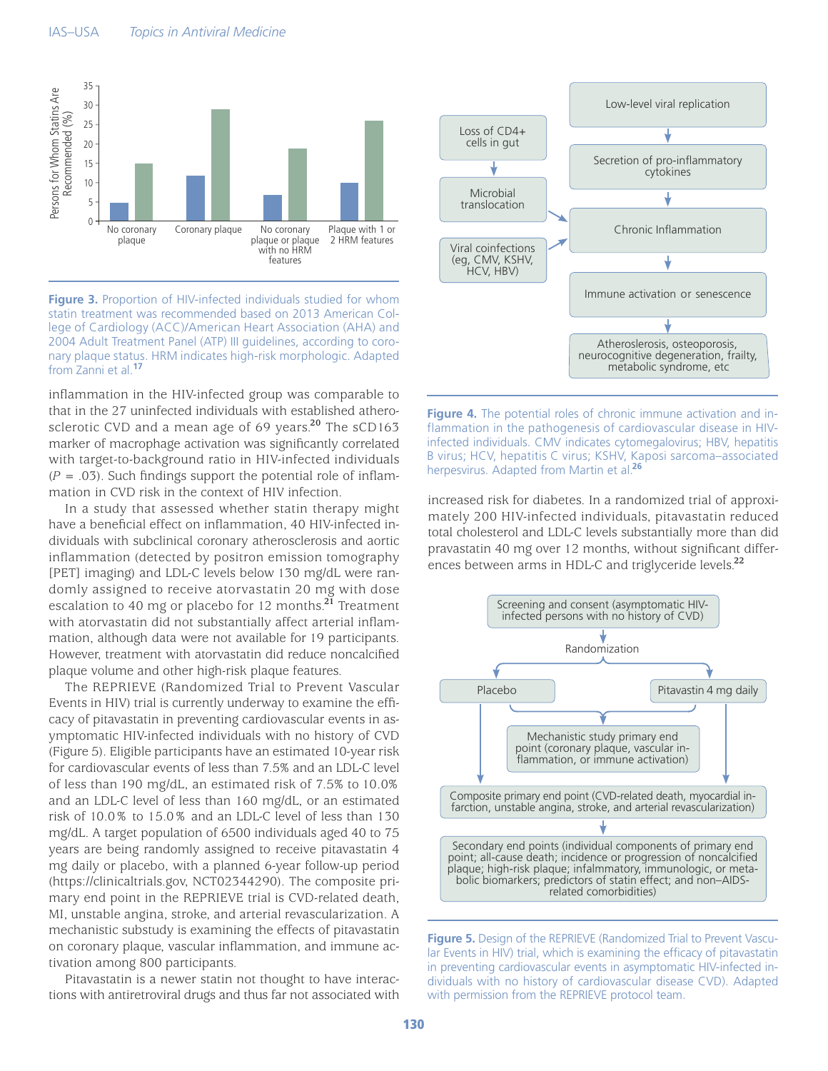

**Figure 3.** Proportion of HIV-infected individuals studied for whom statin treatment was recommended based on 2013 American College of Cardiology (ACC)/American Heart Association (AHA) and 2004 Adult Treatment Panel (ATP) III guidelines, according to coronary plaque status. HRM indicates high-risk morphologic. Adapted from Zanni et al.**<sup>17</sup>**

inflammation in the HIV-infected group was comparable to that in the 27 uninfected individuals with established atherosclerotic CVD and a mean age of 69 years.**<sup>20</sup>** The sCD163 marker of macrophage activation was significantly correlated with target-to-background ratio in HIV-infected individuals  $(P = .03)$ . Such findings support the potential role of inflammation in CVD risk in the context of HIV infection.

In a study that assessed whether statin therapy might have a beneficial effect on inflammation, 40 HIV-infected individuals with subclinical coronary atherosclerosis and aortic inflammation (detected by positron emission tomography [PET] imaging) and LDL-C levels below 130 mg/dL were randomly assigned to receive atorvastatin 20 mg with dose escalation to 40 mg or placebo for 12 months.**<sup>21</sup>** Treatment with atorvastatin did not substantially affect arterial inflammation, although data were not available for 19 participants. However, treatment with atorvastatin did reduce noncalcified plaque volume and other high-risk plaque features.

The REPRIEVE (Randomized Trial to Prevent Vascular Events in HIV) trial is currently underway to examine the efficacy of pitavastatin in preventing cardiovascular events in asymptomatic HIV-infected individuals with no history of CVD (Figure 5). Eligible participants have an estimated 10-year risk for cardiovascular events of less than 7.5% and an LDL-C level of less than 190 mg/dL, an estimated risk of 7.5% to 10.0% and an LDL-C level of less than 160 mg/dL, or an estimated risk of 10.0% to 15.0% and an LDL-C level of less than 130 mg/dL. A target population of 6500 individuals aged 40 to 75 years are being randomly assigned to receive pitavastatin 4 mg daily or placebo, with a planned 6-year follow-up period (https://clinicaltrials.gov, NCT02344290). The composite primary end point in the REPRIEVE trial is CVD-related death, MI, unstable angina, stroke, and arterial revascularization. A mechanistic substudy is examining the effects of pitavastatin on coronary plaque, vascular inflammation, and immune activation among 800 participants.

Pitavastatin is a newer statin not thought to have interactions with antiretroviral drugs and thus far not associated with



**Figure 4.** The potential roles of chronic immune activation and inflammation in the pathogenesis of cardiovascular disease in HIVinfected individuals. CMV indicates cytomegalovirus; HBV, hepatitis B virus; HCV, hepatitis C virus; KSHV, Kaposi sarcoma–associated herpesvirus. Adapted from Martin et al.**<sup>26</sup>**

increased risk for diabetes. In a randomized trial of approximately 200 HIV-infected individuals, pitavastatin reduced total cholesterol and LDL-C levels substantially more than did pravastatin 40 mg over 12 months, without significant differences between arms in HDL-C and triglyceride levels.**<sup>22</sup>**



**Figure 5.** Design of the REPRIEVE (Randomized Trial to Prevent Vascular Events in HIV) trial, which is examining the efficacy of pitavastatin in preventing cardiovascular events in asymptomatic HIV-infected individuals with no history of cardiovascular disease CVD). Adapted with permission from the REPRIEVE protocol team.